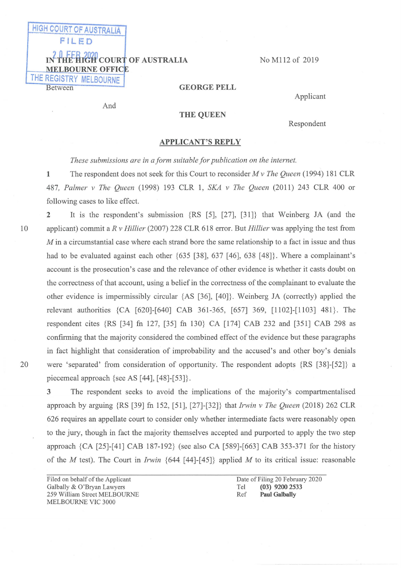# FILED IN THE HIGH COURT OF AUSTRALIA **MELBOURNE OFFICE** THE REGISTRY MELBOURNE Between

**HIGH COURT OF AUSTRALIA** 

NO M112 of 2019

GEORGE FELL

Applicant

And

### THE QUEEN

Respondent

#### APPLICANT'S REPLY

These submissions are in a form suitable for publication on the internet.

1 The respondent does not seek for this Court to reconsider  $M v$  The Queen (1994) 181 CLR 487, Palmer v The Queen (1998) 193 CLR 1, SKA v The Queen (2011) 243 CLR 400 or following cases to like effect.

2 It is the respondent's submission {RS [5], [27], [31]} that Weinberg JA (and the applicant) commit a  $R$  v Hillier (2007) 228 CLR 618 error. But Hillier was applying the test from  $M$  in a circumstantial case where each strand bore the same relationship to a fact in issue and thus had to be evaluated against each other  $\{635 \}$  [38], 637 [46], 638 [48]. Where a complainant's account is the prosecution's case and the relevance of other evidence is whether it casts doubt on the correctness of that account, using a belief in the correctness of the complainant to evaluate the other evidence is impermissibly circular  $\{AS [36], [40]\}$ . Weinberg JA (correctly) applied the relevant authorities {CA [620]-[640] CAB 361-365, [657] 369, [1102]-[1103] 481}. The respondent cites {RS [34] fn 127, [35] fn 130} CA [174] CAB 232 and [351] CAB 298 as confinning that the majority considered the combined effect of the evidence but these paragraphs in fact highlight that consideration of improbability and the accused's and other boy's denials were 'separated' from consideration of opportunity. The respondent adopts  $\{RS [38]-[52]\}$  a piecemeal approach  $\{$ see AS [44], [48]-[53] $\}.$ 

3 The respondent seeks to avoid the implications of the majority's compartmentalised approach by arguing  $\{RS [39] \text{ fm } 152, [51], [27]$ -[32]} that Irwin v The Queen (2018) 262 CLR 626 requires an appellate court to consider only whether intermediate facts were reasonably open to the jury, though in fact the majority themselves accepted and purported to apply the two step approach {CA [25]-[41] CAB 187-192} (see also CA [589]-[663] CAB 353-371 for the history of the M test). The Court in Irwin  $\{644 \mid [44]-[45]\}$  applied M to its critical issue: reasonable

Filed on behalf of the Applicant Galbally & 0'Bryan Lawyers 259 William Street MELBOURNE MELBOURNE VIC 3000

Date of Filing 20 February 2020<br>Tel (03) 9200 2533 Tel (03) 9200 2533<br>Ref **Paul Galbally** Paul Galbally

10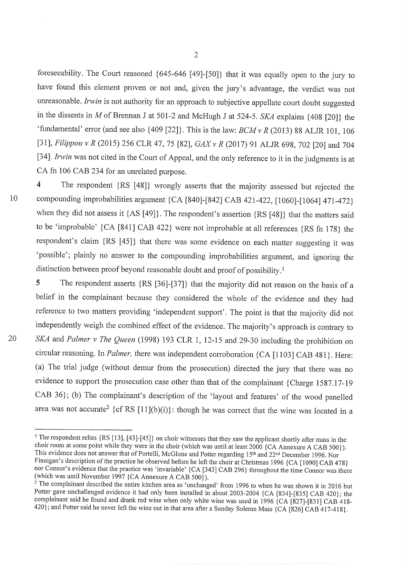foreseeability. The Court reasoned  ${645-646}$  [49]-[50]} that it was equally open to the jury to have found this element proven or not and, given the jury's advantage, the verdict was not unreasonable. Irwin is not authority for an approach to subjective appellate court doubt suggested in the dissents in M of Brennan J at 501-2 and McHugh J at 524-5. SKA explains  $\{408 \,[20]\}$  the 'fundamental' error (and see also  $\{409\,[22]\}$ . This is the law:  $BCMvR$  (2013) 88 ALJR 101, 106 [31], Filippou v R (2015) 256 CLR 47, 75 [82], GAX v R (2017) 91 ALJR 698, 702 [20] and 704 [34]. Irwin was not cited in the Court of Appeal, and the only reference to it in the judgments is at CA fn 106 CAB 234 for an unrelated purpose

10

20

4 The respondent {RS [48]} wrongly asserts that the majority assessed but rejected the compounding improbabilities argument {CA [840]-[842] CAB 421-422, [1060]-[1064] 471-472} when they did not assess it  $\{AS [49]\}$ . The respondent's assertion  $\{RS [48]\}$  that the matters said to be 'improbable'  ${CA [841] CAB 422}$  were not improbable at all references  ${RS fn 178}$  the respondent's claim {RS [45]} that there was some evidence on each matter suggesting it was 'possible'; plainly no answer to the compounding improbabilities argument, and ignoring the distinction between proof beyond reasonable doubt and proof of possibility.<sup>1</sup>

5 The respondent asserts  $\{RS [36]-[37]\}$  that the majority did not reason on the basis of a belief in the complainant because they considered the whole of the evidence and they had reference to two matters providing 'independent support'. The point is that the majority did not independently weigh the combined effect of the evidence. The majority's approach is contrary to SKA and Palmer v The Queen (1998) 193 CLR 1, 12-15 and 29-30 including the prohibition on circular reasoning. In Palmer, there was independent corroboration {CA [1103] CAB 481}. Here: (a) The trial judge (without demur from the prosecution) directed the jury that there was no evidence to support the prosecution case other than that of the complainant  ${Charge~1587.17-19}$ CAB 36}; (b) The complainant's description of the 'layout and features' of the wood panelled area was not accurate<sup>2</sup> {cf RS  $[11](b)(i)$ }: though he was correct that the wine was located in a

<sup>&</sup>lt;sup>1</sup> The respondent relies {RS [13], [43]-[45]} on choir witnesses that they saw the applicant shortly after mass in the choir room at some point while they were in the choir (which was until at least 2000 {CA Annexure A CAB 500}). This evidence does not answer that of Portelli, McGlone and Potter regarding 15<sup>th</sup> and 22<sup>nd</sup> December 1996. Nor Finnigan's description of the practice he observed before he left the choir at Christmas 1996 {CA [1090] CAB 478} nor Connor's evidence that the practice was 'invariable' {CA [343] CAB 296} throughout the time Connor was there (which was until November 1997 {CA Annexure A CAB 500}).

 $2$  The complainant described the entire kitchen area as 'unchanged' from 1996 to when he was shown it in 2016 but Potter gave unchallenged evidence it had only been installed in about 2003-2004 {CA [834]-[835] CAB 420}; the complainant said he found and drank red wine when only white wine was used in 1996 {CA [827]-[831] CAB 418-420}; and Potter said he never left the wine out in that area after a Sunday Solemn Mass {CA [826] CAB 417-418}.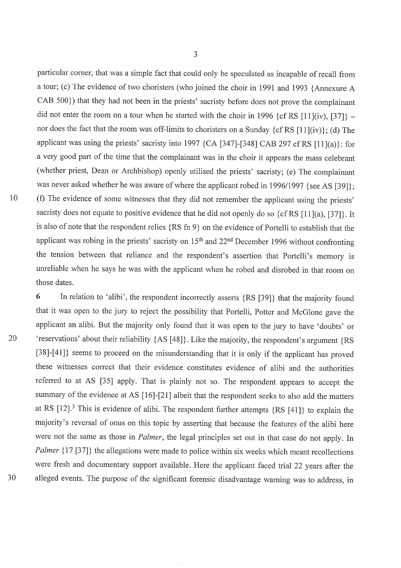10

particular corner, that was a simple fact that could only be speculated as incapable of recall from a tour; (c) The evidence of two choristers (who joined the choir in 1991 and 1993 {Annexure A  $CAB 500$ ) that they had not been in the priests' sacristy before does not prove the complainant did not enter the room on a tour when he started with the choir in 1996  $\{cf RS [11](iv), [37]\}$  nor does the fact that the room was off-limits to choristers on a Sunday  $\{cf RS [11](iv)\};$  (d) The applicant was using the priests' sacristy into 1997 {CA [347]-[348] CAB 297 cf RS [11](a)}: for a very good part of the time that the complainant was in the choir it appears the mass celebrant (whether priest, Dean or Archbishop) openly utilised the priests' sacristy; (e) The complainant was never asked whether he was aware of where the applicant robed in 1996/1997 {see AS  $[39]$ }; (f) The evidence of some witnesses that they did not remember the applicant using the priests' sacristy does not equate to positive evidence that he did not openly do so  $\{cf RS [11](a), [37]\}$ . It is also of note that the respondent relies  $\{RS \text{ fin } 9\}$  on the evidence of Portelli to establish that the applicant was robing in the priests' sacristy on  $15<sup>th</sup>$  and  $22<sup>nd</sup>$  December 1996 without confronting the tension between that reliance and the respondent's assertion that Portelli's memory is unreliable when he says he was with the applicant when he robed and disrobed in that room on those dates

6 In relation to 'alibi', the respondent incorrectly asserts {RS [39]} that the majority found that it was open to the jury to reject the possibility that Portelli, Potter and MCGlone gave the applicant an alibi. But the majority only found that it was open to the jury to have 'doubts' or 'reservations' about their reliability {AS [48]}. Like the majority, the respondent's argument {RS [38]-[41]} seems to proceed on the misunderstanding that it is only if the applicant has proved these witnesses correct that their evidence constitutes evidence of alibi and the authorities referred to at AS [35] apply. That is plainly not so. The respondent appears to accept the summary of the evidence at AS [16]-[21] albeit that the respondent seeks to also add the matters at RS  $[12]$ .<sup>3</sup> This is evidence of alibi. The respondent further attempts  $\{RS [41]\}$  to explain the majority's reversal of onus on this topic by asserting that because the features of the alibi here were not the same as those in *Palmer*, the legal principles set out in that case do not apply. In Palmer  $\{17 \, [37]\}$  the allegations were made to police within six weeks which meant recollections were fresh and documentary support available. Here the applicant faced trial 22 years after the alleged events. The purpose of the significant forensic disadvantage warning was to address, in

30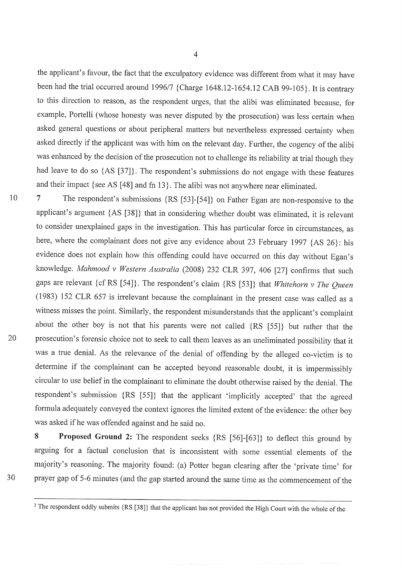the applicant's favour, the fact that the exculpatory evidence was different from what it may have been had the trial occurred around 1996/7 {Charge 1648.12-1654.12 CAB 99-105}. It is contrary to this direction to reason, as the respondent urges, that the alibi was eliminated because, for example, Portelli (whose honesty was never disputed by the prosecution) was less certain when asked general questions or about peripheral matters but nevertheless expressed certainty when asked directly if the applicant was with him on the relevant day. Further, the cogency of the alibi was enhanced by the decision of the prosecution not to challenge its reliability at trial though they had leave to do so  $\{AS [37]\}$ . The respondent's submissions do not engage with these features and their impact {see AS  $[48]$  and fn 13}. The alibi was not anywhere near eliminated.

10

20

7 The respondent's submissions {RS [53]-[54]} on Father Egan are non-responsive to the applicant's argument {AS [38]} that in considering whether doubt was eliminated, it is relevant to consider unexplained gaps in the investigation. This has particular force in circumstances, as here, where the complainant does not give any evidence about 23 February 1997  $\{AS\ 26\}$ : his evidence does not explain how this offending could have occurred on this day without Egan's knowledge. Mahmood v Western Australia (2008) 232 CLR 397, 406 [27] confirms that such gaps are relevant {cf RS [54]}. The respondent's claim {RS [53]} that Whitehorn v The Queen (1983) 152 CLR 657 is irrelevant because the complainant in the present case was called as a witness misses the point. Similarly, the respondent misunderstands that the applicant's complaint about the other boy is not that his parents were not called {RS [55]} but rather that the prosecution's forensic choice not to seek to call them leaves as an uneliminated possibility that it was a true denial. As the relevance of the denial of offending by the alleged co-victim is to determine if the complainant can be accepted beyond reasonable doubt, it is impermissibl circular to use belief in the complainant to eliminate the doubt otherwise raised by the denial. The respondent's submission {RS [55]} that the applicant 'implicitly accepted' that the agreed formula adequately conveyed the context ignores the limited extent of the evidence: the other bo was asked if he was offended against and he said no.

8 Proposed Ground 2: The respondent seeks {RS [56]-[63]} to deflect this ground by arguing for a factual conclusion that is inconsistent with some essential elements of the majority's reasoning. The majority found: (a) Potter began clearing after the 'private time' for prayer gap of 5-6 minutes (and the gap started around the same time as the commencement of the

<sup>&</sup>lt;sup>3</sup> The respondent oddly submits {RS [38]} that the applicant has not provided the High Court with the whole of the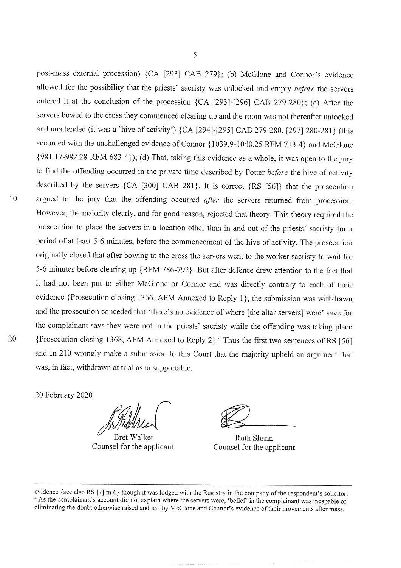post-mass external procession)  ${CA}$  [293] CAB 279; (b) McGlone and Connor's evidence allowed for the possibility that the priests' sacristy was unlocked and empty before the servers entered it at the conclusion of the procession  ${CA}$  [293]-[296] CAB 279-280 $;$  (c) After the servers bowed to the cross they commenced clearing up and the room was not thereafter unlocked and unattended (it was a 'hive of activity')  $\{CA$  [294]-[295] CAB 279-280, [297] 280-281} (this accorded with the unchallenged evidence of Connor {1039.9-1040.25 RFM 713-4} and McGlone  ${981.17-982.28$  RFM  $683-4$ }); (d) That, taking this evidence as a whole, it was open to the jury to find the offending occurred in the private time described by Potter before the hive of activity described by the servers  ${CA [300] CAB 281}$ . It is correct  ${RS [56]}$  that the prosecution argued to the jury that the offending occurred *after* the servers returned from procession. However, the majority clearly, and for good reason, rejected that theory. This theory required the prosecution to place the servers in a location other than in and out of the priests' sacristy for a period of at least 5-6 minutes, before the commencement of the hive of activity. The prosecution originally closed that after bowing to the cross the servers went to the worker sacristy to wait for 5-6 minutes before clearing up {RFM 786-792}. But after defence drew attention to the fact that it had not been put to either MCGlone or Connor and was directly contrary to each of their evidence {Prosecution closing 1366, AFM Annexed to Reply 1}, the submission was withdrawn and the prosecution conceded that 'there's no evidence of where [the altar servers] were' save for the complainant says they were not in the priests' sacristy while the offending was taking place {Prosecution closing 1368, AFM Annexed to Reply 2}.<sup>4</sup> Thus the first two sentences of RS [56] and fn 210 wrongly make a submission to this Court that the majority upheld an argument that was, in fact, withdrawn at trial as unsupportable.

20 February 2020

Counsel for the applicant Bret Walker Ruth Shann

Counsel for the applicant

evidence {see also RS  $[7]$  fn 6} though it was lodged with the Registry in the company of the respondent's solicitor. <sup>4</sup> As the complainant's account did not explain where the servers were, 'belief' in the complainant was incapable of eliminating the doubt otherwise raised and left by McGlone and Connor's evidence of their movements after mass.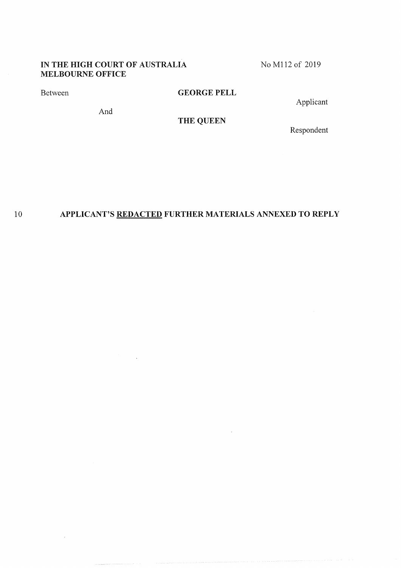## IN THE HIGH COURT OF AUSTRALIA MELBOURNE OFFICE

NO M112 of 2019

Between

## GEORGE FELL

Applicant

And

# THE QUEEN

Respondent

#### 10 APPLICANT's REDACTED FURTHER MATERIALS ANNEXED To REPLY

 $\ddot{\phantom{a}}$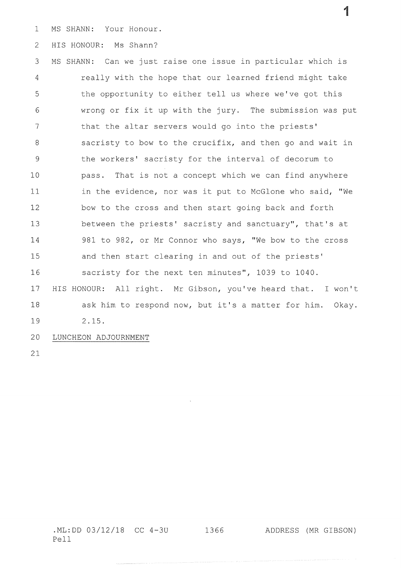$\mathbf{1}$ Ms SHANN: Your Honour.

2 HIS HONOUR: Ms Shann?

3 4 5 6 7 8 9 10 11 12 L3 }4 15 16 17 18 L9 20 MS SHANN: Can we just raise one issue in particular which is really with the hope that our learned friend might take the opportunity to either tell us where we've got this wrong or fix it up with the jury. The submission was put that the altar servers would go into the priests' sacristy to bow to the crucifix, and then go and wait in the workers' sacristy for the interval of decorum to pass. That is not a concept which we can find anywhere in the evidence, nor was it put to McGlone who said, "We bow to the cross and then start going back and forth between the priests' sacristy and sanctuary", that's at 981 to 982, or Mr Connor who says, "We bow to the cross and then start clearing in and out of the priests' sacristy for the next ten minutes", 1039 to 1040. HIS HONOUR: All right. Mr Gibson, you've heard that. I won't ask him to respond now, but it's a matter for him. Okay. 2. L5. LUNCHEON ADJOURNMENT

21